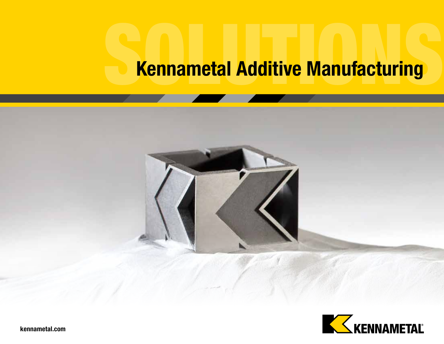# Kennametal Additive Manufacturing



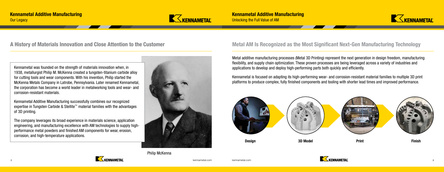

Philip McKenna





Kennametal was founded on the strength of materials innovation when, in 1938, metallurgist Philip M. McKenna created a tungsten-titanium carbide alloy for cutting tools and wear components. With his invention, Philip started the McKenna Metals Company in Latrobe, Pennsylvania. Later renamed Kennametal, the corporation has become a world leader in metalworking tools and wear- and corrosion-resistant materials.

Kennametal Additive Manufacturing successfully combines our recognized expertise in Tungsten Carbide & Stellite™ material families with the advantages of 3D printing.

The company leverages its broad experience in materials science, application engineering, and manufacturing excellence with AM technologies to supply highperformance metal powders and finished AM components for wear, erosion, corrosion, and high-temperature applications.



Metal additive manufacturing processes (Metal 3D Printing) represent the next generation in design freedom, manufacturing flexibility, and supply chain optimization. These proven processes are being leveraged across a variety of industries and applications to develop and deploy high-performing parts both quickly and efficiently.

Kennametal is focused on adapting its high-performing wear- and corrosion-resistant material families to multiple 3D print platforms to produce complex, fully finished components and tooling with shorter lead times and improved performance.

### Metal AM Is Recognized as the Most Significant Next-Gen Manufacturing Technology





### A History of Materials Innovation and Close Attention to the Customer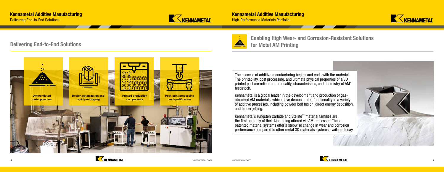





#### Delivering End-to-End Solutions



### Enabling High Wear- and Corrosion-Resistant Solutions for Metal AM Printing

The success of additive manufacturing begins and ends with the material. The printability, post processing, and ultimate physical properties of a 3D printed part are reliant on the quality, characteristics, and chemistry of AM's

feedstock.

Kennametal is a global leader in the development and production of gasatomized AM materials, which have demonstrated functionality in a variety of additive processes, including powder bed fusion, direct energy deposition,

and binder jetting.





Kennametal's Tungsten Carbide and Stellite™ material families are the first and only of their kind being offered via AM processes. These patented material systems offer a stepwise change in wear and corrosion performance compared to other metal 3D materials systems available today.

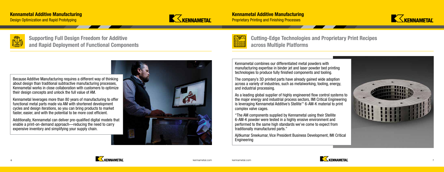



### Cutting-Edge Technologies and Proprietary Print Recipes across Multiple Platforms

Kennametal combines our differentiated metal powders with manufacturing expertise in binder jet and laser powder bed printing technologies to produce fully finished components and tooling.

The company's 3D printed parts have already gained wide adoption across a variety of industries, such as metalworking, tooling, energy, and industrial processing.

As a leading global supplier of highly engineered flow control systems to the major energy and industrial process sectors, IMI Critical Engineering is leveraging Kennametal Additive's Stellite™ 6-AM-K material to print complex valve cages.

"The AM components supplied by Kennametal using their Stellite 6-AM-K powder were tested in a highly erosive environment and performed to the same high standards we've come to expect from traditionally manufactured parts."

Ajitkumar Sreekumar, Vice President Business Development, IMI Critical





Engineering

Design Optimization and Rapid Prototyping



**Proprietary Printing and Finishing Processes** 



Supporting Full Design Freedom for Additive

and Rapid Deployment of Functional Components



Kennametal leverages more than 80 years of manufacturing to offer functional metal parts made via AM with shortened development cycles and design iterations, so you can bring products to market faster, easier, and with the potential to be more cost efficient.

Additionally, Kennametal can deliver pre-qualified digital models that enable a print-on-demand approach—reducing the need to carry expensive inventory and simplifying your supply chain.

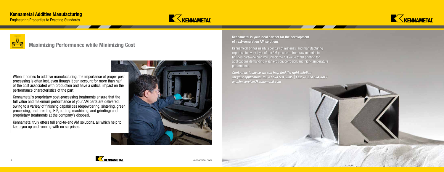



## Maximizing Performance while Minimizing Cost

When it comes to additive manufacturing, the importance of proper post processing is often lost, even though it can account for more than half of the cost associated with production and have a critical impact on the performance characteristics of the part.

Kennametal's proprietary post-processing treatments ensure that the full value and maximum performance of your AM parts are delivered, owing to a variety of finishing capabilities (depowdering, sintering, green processing, heat treating, HIP, cutting, machining, and grinding) and proprietary treatments at the company's disposal.

Kennametal truly offers full end-to-end AM solutions, all which help to keep you up and running with no surprises.



Engineering Properties to Exacting Standards





#### Kennametal is your ideal partner for the development of next-generation AM solutions.

Kennametal brings nearly a century of materials and manufacturing expertise to every layer of the AM process—from raw material to finished part—helping you unlock the full value of 3D printing for applications demanding wear, erosion, corrosion, and high-temperature

performance.

*Contact us today so we can help find the right solution for your application: Tel: +1 574 534-2585 | Fax: +1 574 534-3417 K-gshn.service@kennametal.com*